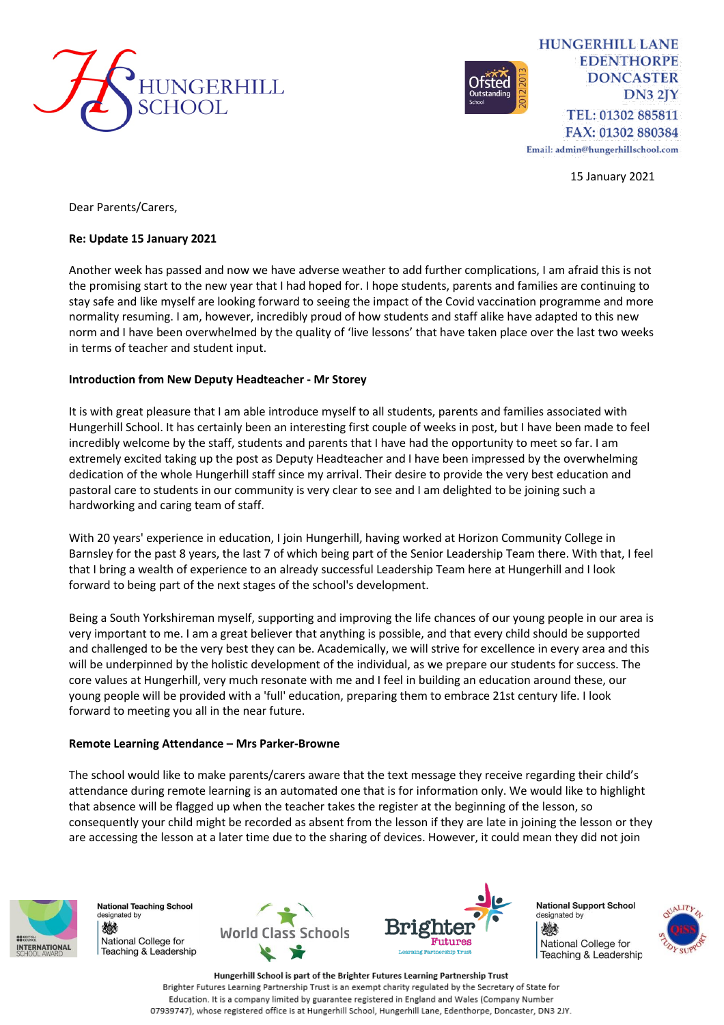



**HUNGERHILL LANE EDENTHORPE DONCASTER**  $DN3 2IY$ TEL: 01302 885811 FAX: 01302 880384

Email: admin@hungerhillschool.com

15 January 2021

Dear Parents/Carers,

### **Re: Update 15 January 2021**

Another week has passed and now we have adverse weather to add further complications, I am afraid this is not the promising start to the new year that I had hoped for. I hope students, parents and families are continuing to stay safe and like myself are looking forward to seeing the impact of the Covid vaccination programme and more normality resuming. I am, however, incredibly proud of how students and staff alike have adapted to this new norm and I have been overwhelmed by the quality of 'live lessons' that have taken place over the last two weeks in terms of teacher and student input.

### **Introduction from New Deputy Headteacher - Mr Storey**

It is with great pleasure that I am able introduce myself to all students, parents and families associated with Hungerhill School. It has certainly been an interesting first couple of weeks in post, but I have been made to feel incredibly welcome by the staff, students and parents that I have had the opportunity to meet so far. I am extremely excited taking up the post as Deputy Headteacher and I have been impressed by the overwhelming dedication of the whole Hungerhill staff since my arrival. Their desire to provide the very best education and pastoral care to students in our community is very clear to see and I am delighted to be joining such a hardworking and caring team of staff.

With 20 years' experience in education, I join Hungerhill, having worked at Horizon Community College in Barnsley for the past 8 years, the last 7 of which being part of the Senior Leadership Team there. With that, I feel that I bring a wealth of experience to an already successful Leadership Team here at Hungerhill and I look forward to being part of the next stages of the school's development.

Being a South Yorkshireman myself, supporting and improving the life chances of our young people in our area is very important to me. I am a great believer that anything is possible, and that every child should be supported and challenged to be the very best they can be. Academically, we will strive for excellence in every area and this will be underpinned by the holistic development of the individual, as we prepare our students for success. The core values at Hungerhill, very much resonate with me and I feel in building an education around these, our young people will be provided with a 'full' education, preparing them to embrace 21st century life. I look forward to meeting you all in the near future.

#### **Remote Learning Attendance – Mrs Parker-Browne**

The school would like to make parents/carers aware that the text message they receive regarding their child's attendance during remote learning is an automated one that is for information only. We would like to highlight that absence will be flagged up when the teacher takes the register at the beginning of the lesson, so consequently your child might be recorded as absent from the lesson if they are late in joining the lesson or they are accessing the lesson at a later time due to the sharing of devices. However, it could mean they did not join



**National Teaching School** designated by 燃 National College for Feaching & Leadership





**National Support School** designated by 燃 National College for Teaching & Leadership



Hungerhill School is part of the Brighter Futures Learning Partnership Trust Brighter Futures Learning Partnership Trust is an exempt charity regulated by the Secretary of State for Education. It is a company limited by guarantee registered in England and Wales (Company Number 07939747), whose registered office is at Hungerhill School, Hungerhill Lane, Edenthorpe, Doncaster, DN3 2JY.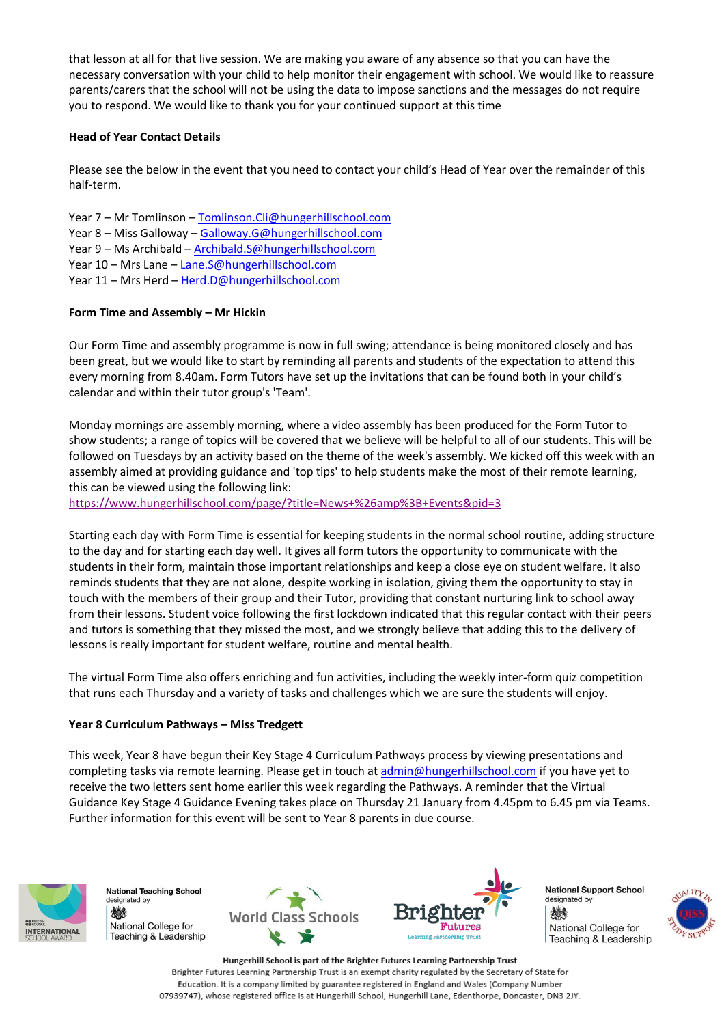that lesson at all for that live session. We are making you aware of any absence so that you can have the necessary conversation with your child to help monitor their engagement with school. We would like to reassure parents/carers that the school will not be using the data to impose sanctions and the messages do not require you to respond. We would like to thank you for your continued support at this time

# **Head of Year Contact Details**

Please see the below in the event that you need to contact your child's Head of Year over the remainder of this half-term.

- Year 7 Mr Tomlinson [Tomlinson.Cli@hungerhillschool.com](mailto:Tomlinson.Cli@hungerhillschool.com) Year 8 – Miss Galloway – [Galloway.G@hungerhillschool.com](mailto:Galloway.G@hungerhillschool.com) Year 9 – Ms Archibald – [Archibald.S@hungerhillschool.com](mailto:Archibald.S@hungerhillschool.com) Year 10 – Mrs Lane – [Lane.S@hungerhillschool.com](mailto:Lane.S@hungerhillschool.com)
- Year 11 Mrs Herd [Herd.D@hungerhillschool.com](mailto:Herd.D@hungerhillschool.com)

# **Form Time and Assembly – Mr Hickin**

Our Form Time and assembly programme is now in full swing; attendance is being monitored closely and has been great, but we would like to start by reminding all parents and students of the expectation to attend this every morning from 8.40am. Form Tutors have set up the invitations that can be found both in your child's calendar and within their tutor group's 'Team'.

Monday mornings are assembly morning, where a video assembly has been produced for the Form Tutor to show students; a range of topics will be covered that we believe will be helpful to all of our students. This will be followed on Tuesdays by an activity based on the theme of the week's assembly. We kicked off this week with an assembly aimed at providing guidance and 'top tips' to help students make the most of their remote learning, this can be viewed using the following link:

<https://www.hungerhillschool.com/page/?title=News+%26amp%3B+Events&pid=3>

Starting each day with Form Time is essential for keeping students in the normal school routine, adding structure to the day and for starting each day well. It gives all form tutors the opportunity to communicate with the students in their form, maintain those important relationships and keep a close eye on student welfare. It also reminds students that they are not alone, despite working in isolation, giving them the opportunity to stay in touch with the members of their group and their Tutor, providing that constant nurturing link to school away from their lessons. Student voice following the first lockdown indicated that this regular contact with their peers and tutors is something that they missed the most, and we strongly believe that adding this to the delivery of lessons is really important for student welfare, routine and mental health.

The virtual Form Time also offers enriching and fun activities, including the weekly inter-form quiz competition that runs each Thursday and a variety of tasks and challenges which we are sure the students will enjoy.

# **Year 8 Curriculum Pathways – Miss Tredgett**

This week, Year 8 have begun their Key Stage 4 Curriculum Pathways process by viewing presentations and completing tasks via remote learning. Please get in touch at [admin@hungerhillschool.com](mailto:admin@hungerhillschool.com) if you have yet to receive the two letters sent home earlier this week regarding the Pathways. A reminder that the Virtual Guidance Key Stage 4 Guidance Evening takes place on Thursday 21 January from 4.45pm to 6.45 pm via Teams. Further information for this event will be sent to Year 8 parents in due course.



**National Teaching School** designated by 燃 National College for Teaching & Leadership





**National Support School** designated by 燃 National College for Teaching & Leadership



Hungerhill School is part of the Brighter Futures Learning Partnership Trust Brighter Futures Learning Partnership Trust is an exempt charity regulated by the Secretary of State for Education. It is a company limited by guarantee registered in England and Wales (Company Number 07939747), whose registered office is at Hungerhill School, Hungerhill Lane, Edenthorpe, Doncaster, DN3 2JY.